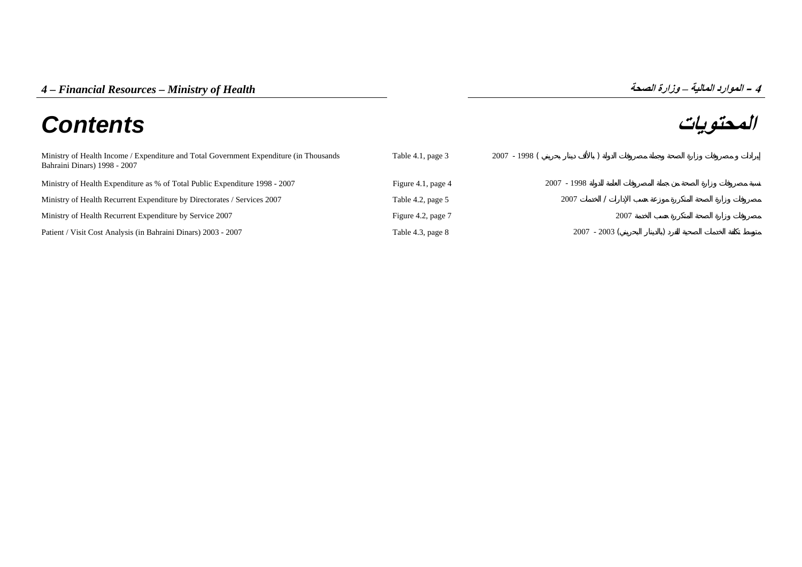## **المحتويات** *Contents*

| Ministry of Health Income / Expenditure and Total Government Expenditure (in Thousands<br>Bahraini Dinars) 1998 - 2007 | Table 4.1, page 3  | 2007 - 1998 ( |                 |  |
|------------------------------------------------------------------------------------------------------------------------|--------------------|---------------|-----------------|--|
| Ministry of Health Expenditure as % of Total Public Expenditure 1998 - 2007                                            | Figure 4.1, page 4 | $2007 - 1998$ |                 |  |
| Ministry of Health Recurrent Expenditure by Directorates / Services 2007                                               | Table 4.2, page 5  | 2007          |                 |  |
| Ministry of Health Recurrent Expenditure by Service 2007                                                               | Figure 4.2, page 7 |               | 2007            |  |
| Patient / Visit Cost Analysis (in Bahraini Dinars) 2003 - 2007                                                         | Table 4.3, page 8  |               | $2007 - 2003$ ( |  |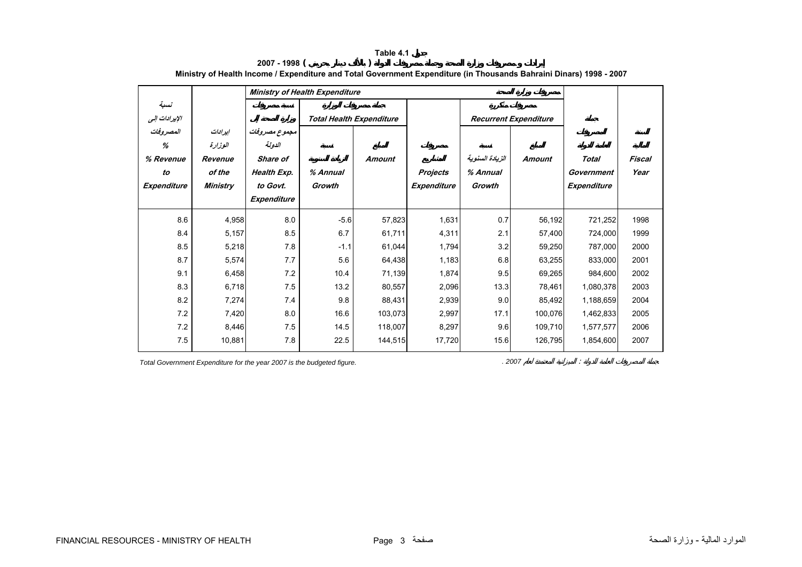<span id="page-1-0"></span>

|                                                  |                                                     | <b>Ministry of Health Expenditure</b>                                         |                                 |               |                                |                                       |                              |                                           |                |
|--------------------------------------------------|-----------------------------------------------------|-------------------------------------------------------------------------------|---------------------------------|---------------|--------------------------------|---------------------------------------|------------------------------|-------------------------------------------|----------------|
| نسبة<br>الإيرادات إلى                            |                                                     |                                                                               | <b>Total Health Expenditure</b> |               |                                |                                       | <b>Recurrent Expenditure</b> |                                           |                |
| المصروفات<br>%<br>% Revenue<br>to<br>Expenditure | إيرادات<br>الوزارة<br>Revenue<br>of the<br>Ministry | مجموع مصروفات<br>الدولة<br>Share of<br>Health Exp.<br>to Govt.<br>Expenditure | % Annual<br>Growth              | <b>Amount</b> | <b>Projects</b><br>Expenditure | الزيادة السنوية<br>% Annual<br>Growth | <b>Amount</b>                | <b>Total</b><br>Government<br>Expenditure | Fiscal<br>Year |
| 8.6                                              | 4,958                                               | 8.0                                                                           | $-5.6$                          | 57,823        | 1,631                          | 0.7                                   | 56,192                       | 721,252                                   | 1998           |
| 8.4                                              | 5,157                                               | 8.5                                                                           | 6.7                             | 61,711        | 4,311                          | 2.1                                   | 57,400                       | 724,000                                   | 1999           |
| 8.5                                              | 5,218                                               | 7.8                                                                           | $-1.1$                          | 61,044        | 1,794                          | 3.2                                   | 59,250                       | 787,000                                   | 2000           |
| 8.7                                              | 5,574                                               | 7.7                                                                           | 5.6                             | 64,438        | 1,183                          | 6.8                                   | 63,255                       | 833.000                                   | 2001           |
| 9.1                                              | 6,458                                               | 7.2                                                                           | 10.4                            | 71,139        | 1,874                          | 9.5                                   | 69,265                       | 984.600                                   | 2002           |
| 8.3                                              | 6,718                                               | 7.5                                                                           | 13.2                            | 80,557        | 2,096                          | 13.3                                  | 78,461                       | 1,080,378                                 | 2003           |
| 8.2                                              | 7,274                                               | 7.4                                                                           | 9.8                             | 88,431        | 2,939                          | 9.0                                   | 85,492                       | 1,188,659                                 | 2004           |
| 7.2                                              | 7,420                                               | 8.0                                                                           | 16.6                            | 103,073       | 2,997                          | 17.1                                  | 100,076                      | 1,462,833                                 | 2005           |
| 7.2                                              | 8,446                                               | 7.5                                                                           | 14.5                            | 118,007       | 8,297                          | 9.6                                   | 109,710                      | 1,577,577                                 | 2006           |
| 7.5                                              | 10,881                                              | 7.8                                                                           | 22.5                            | 144,515       | 17,720                         | 15.6                                  | 126,795                      | 1,854,600                                 | 2007           |

**2007 - 1998 ( ) Ministry of Health Income / Expenditure and Total Government Expenditure (in Thousands Bahraini Dinars) 1998 - 2007**

**Table 4.1**

*Total Government Expenditure for the year 2007 is the budgeted figure. <i>Position compared to the year 2007* is the budgeted figure.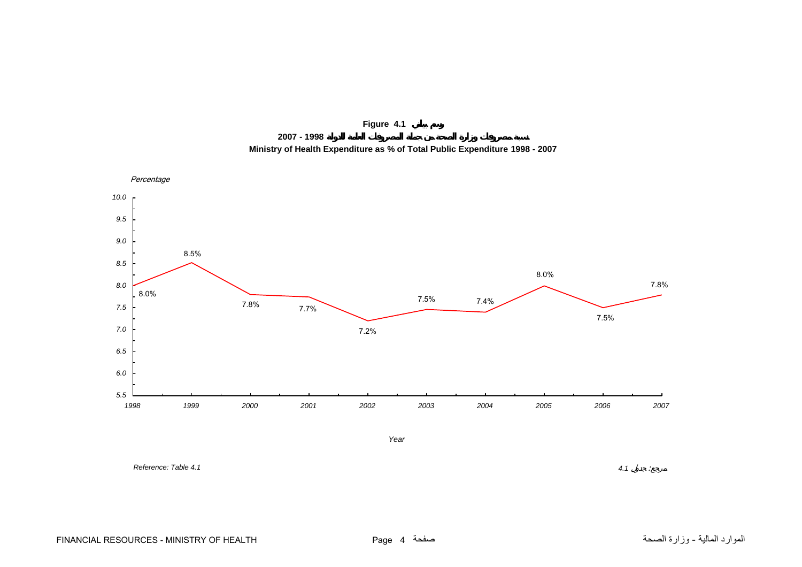

**2007 - 1998**



<span id="page-2-0"></span>

*Year*

*Reference: Table 4.1*

 *4.1* $4.1$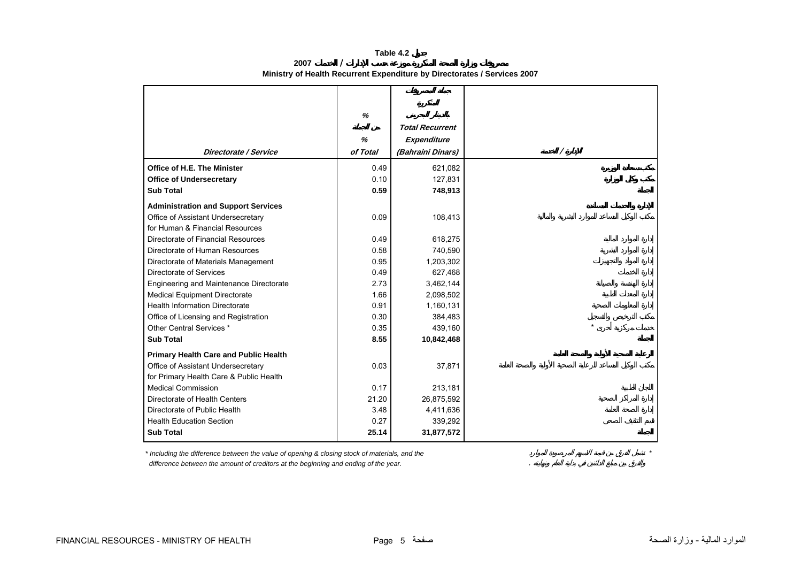**Table 4.2**

**2007 / Ministry of Health Recurrent Expenditure by Directorates / Services 2007** 

<span id="page-3-0"></span>

|                                              | $\%$     |                        |
|----------------------------------------------|----------|------------------------|
|                                              |          | <b>Total Recurrent</b> |
|                                              | %        | Expenditure            |
| Directorate / Service                        | of Total | (Bahraini Dinars)      |
| Office of H.E. The Minister                  | 0.49     | 621,082                |
| <b>Office of Undersecretary</b>              | 0.10     | 127,831                |
| <b>Sub Total</b>                             | 0.59     | 748,913                |
| <b>Administration and Support Services</b>   |          |                        |
| Office of Assistant Undersecretary           | 0.09     | 108,413                |
| for Human & Financial Resources              |          |                        |
| Directorate of Financial Resources           | 0.49     | 618,275                |
| Directorate of Human Resources               | 0.58     | 740,590                |
| Directorate of Materials Management          | 0.95     | 1,203,302              |
| Directorate of Services                      | 0.49     | 627,468                |
| Engineering and Maintenance Directorate      | 2.73     | 3,462,144              |
| <b>Medical Equipment Directorate</b>         | 1.66     | 2,098,502              |
| <b>Health Information Directorate</b>        | 0.91     | 1,160,131              |
| Office of Licensing and Registration         | 0.30     | 384,483                |
| Other Central Services *                     | 0.35     | 439,160                |
| <b>Sub Total</b>                             | 8.55     | 10,842,468             |
| <b>Primary Health Care and Public Health</b> |          |                        |
| Office of Assistant Undersecretary           | 0.03     | 37,871                 |
| for Primary Health Care & Public Health      |          |                        |
| <b>Medical Commission</b>                    | 0.17     | 213,181                |
| Directorate of Health Centers                | 21.20    | 26,875,592             |
| Directorate of Public Health                 | 3.48     | 4,411,636              |
| <b>Health Education Section</b>              | 0.27     | 339,292                |
| <b>Sub Total</b>                             | 25.14    | 31,877,572             |

*\* Including the difference between the value of opening & closing stock of materials, and the \** 

 *difference between the amount of creditors at the beginning and ending of the year.* .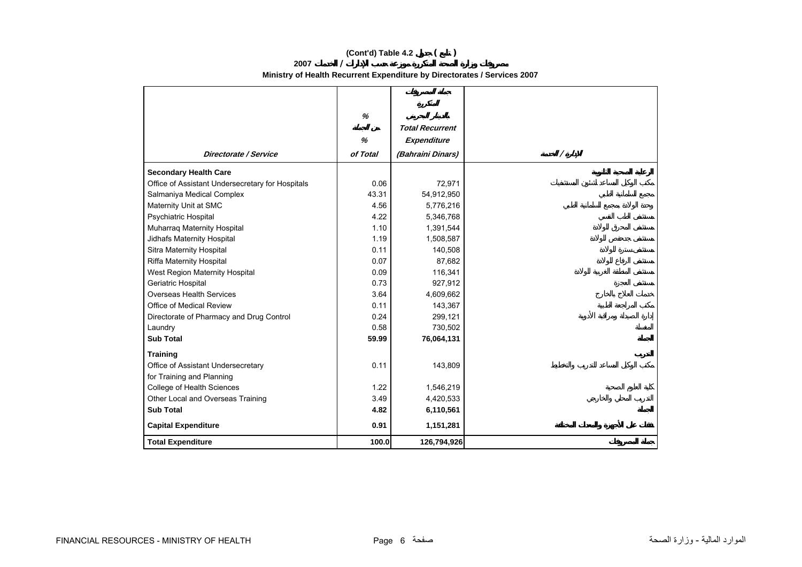## **(Cont'd) Table 4.2 ( )**

**2007/**

**Ministry of Health Recurrent Expenditure by Directorates / Services 2007** 

|                                                  | %        |                        |          |
|--------------------------------------------------|----------|------------------------|----------|
|                                                  |          | <b>Total Recurrent</b> |          |
|                                                  | %        | Expenditure            |          |
| Directorate / Service                            | of Total | (Bahraini Dinars)      | $\prime$ |
| <b>Secondary Health Care</b>                     |          |                        |          |
| Office of Assistant Undersecretary for Hospitals | 0.06     | 72,971                 |          |
| Salmaniya Medical Complex                        | 43.31    | 54,912,950             |          |
| Maternity Unit at SMC                            | 4.56     | 5,776,216              |          |
| Psychiatric Hospital                             | 4.22     | 5,346,768              |          |
| Muharraq Maternity Hospital                      | 1.10     | 1,391,544              |          |
| Jidhafs Maternity Hospital                       | 1.19     | 1,508,587              |          |
| Sitra Maternity Hospital                         | 0.11     | 140,508                |          |
| Riffa Maternity Hospital                         | 0.07     | 87,682                 |          |
| West Region Maternity Hospital                   | 0.09     | 116,341                |          |
| Geriatric Hospital                               | 0.73     | 927,912                |          |
| <b>Overseas Health Services</b>                  | 3.64     | 4,609,662              |          |
| Office of Medical Review                         | 0.11     | 143,367                |          |
| Directorate of Pharmacy and Drug Control         | 0.24     | 299,121                |          |
| Laundry                                          | 0.58     | 730,502                |          |
| <b>Sub Total</b>                                 | 59.99    | 76,064,131             |          |
| <b>Training</b>                                  |          |                        |          |
| Office of Assistant Undersecretary               | 0.11     | 143,809                |          |
| for Training and Planning                        |          |                        |          |
| College of Health Sciences                       | 1.22     | 1,546,219              |          |
| Other Local and Overseas Training                | 3.49     | 4,420,533              |          |
| <b>Sub Total</b>                                 | 4.82     | 6,110,561              |          |
| <b>Capital Expenditure</b>                       | 0.91     | 1,151,281              |          |
| <b>Total Expenditure</b>                         | 100.0    | 126,794,926            |          |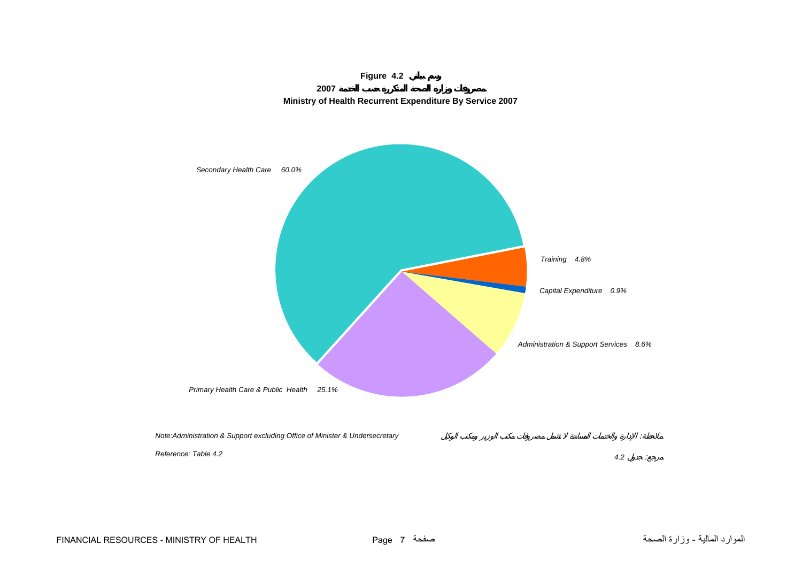<span id="page-5-0"></span>